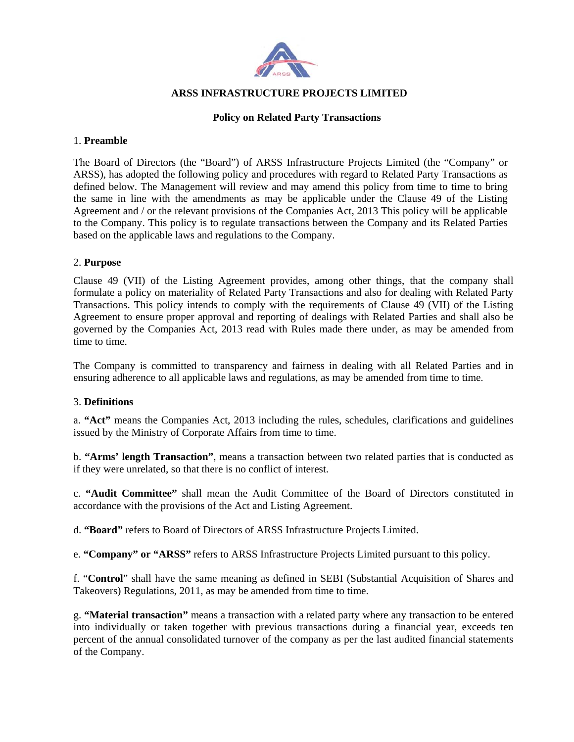

# **ARSS INFRASTRUCTURE PROJECTS LIMITED**

# **Policy on Related Party Transactions**

#### 1. **Preamble**

The Board of Directors (the "Board") of ARSS Infrastructure Projects Limited (the "Company" or ARSS), has adopted the following policy and procedures with regard to Related Party Transactions as defined below. The Management will review and may amend this policy from time to time to bring the same in line with the amendments as may be applicable under the Clause 49 of the Listing Agreement and / or the relevant provisions of the Companies Act, 2013 This policy will be applicable to the Company. This policy is to regulate transactions between the Company and its Related Parties based on the applicable laws and regulations to the Company.

### 2. **Purpose**

Clause 49 (VII) of the Listing Agreement provides, among other things, that the company shall formulate a policy on materiality of Related Party Transactions and also for dealing with Related Party Transactions. This policy intends to comply with the requirements of Clause 49 (VII) of the Listing Agreement to ensure proper approval and reporting of dealings with Related Parties and shall also be governed by the Companies Act, 2013 read with Rules made there under, as may be amended from time to time.

The Company is committed to transparency and fairness in dealing with all Related Parties and in ensuring adherence to all applicable laws and regulations, as may be amended from time to time.

### 3. **Definitions**

a. **"Act"** means the Companies Act, 2013 including the rules, schedules, clarifications and guidelines issued by the Ministry of Corporate Affairs from time to time.

b. **"Arms' length Transaction"**, means a transaction between two related parties that is conducted as if they were unrelated, so that there is no conflict of interest.

c. **"Audit Committee"** shall mean the Audit Committee of the Board of Directors constituted in accordance with the provisions of the Act and Listing Agreement.

d. **"Board"** refers to Board of Directors of ARSS Infrastructure Projects Limited.

e. **"Company" or "ARSS"** refers to ARSS Infrastructure Projects Limited pursuant to this policy.

f. "**Control**" shall have the same meaning as defined in SEBI (Substantial Acquisition of Shares and Takeovers) Regulations, 2011, as may be amended from time to time.

g. **"Material transaction"** means a transaction with a related party where any transaction to be entered into individually or taken together with previous transactions during a financial year, exceeds ten percent of the annual consolidated turnover of the company as per the last audited financial statements of the Company.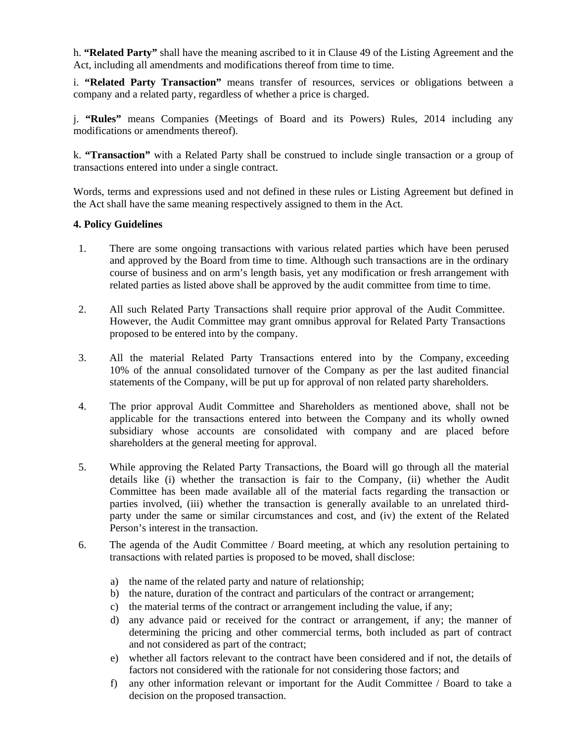h. **"Related Party"** shall have the meaning ascribed to it in Clause 49 of the Listing Agreement and the Act, including all amendments and modifications thereof from time to time.

i. **"Related Party Transaction"** means transfer of resources, services or obligations between a company and a related party, regardless of whether a price is charged.

j. **"Rules"** means Companies (Meetings of Board and its Powers) Rules, 2014 including any modifications or amendments thereof).

k. **"Transaction"** with a Related Party shall be construed to include single transaction or a group of transactions entered into under a single contract.

Words, terms and expressions used and not defined in these rules or Listing Agreement but defined in the Act shall have the same meaning respectively assigned to them in the Act.

### **4. Policy Guidelines**

- 1. There are some ongoing transactions with various related parties which have been perused and approved by the Board from time to time. Although such transactions are in the ordinary course of business and on arm's length basis, yet any modification or fresh arrangement with related parties as listed above shall be approved by the audit committee from time to time.
- 2. All such Related Party Transactions shall require prior approval of the Audit Committee. However, the Audit Committee may grant omnibus approval for Related Party Transactions proposed to be entered into by the company.
- 3. All the material Related Party Transactions entered into by the Company, exceeding 10% of the annual consolidated turnover of the Company as per the last audited financial statements of the Company, will be put up for approval of non related party shareholders.
- 4. The prior approval Audit Committee and Shareholders as mentioned above, shall not be applicable for the transactions entered into between the Company and its wholly owned subsidiary whose accounts are consolidated with company and are placed before shareholders at the general meeting for approval.
- 5. While approving the Related Party Transactions, the Board will go through all the material details like (i) whether the transaction is fair to the Company, (ii) whether the Audit Committee has been made available all of the material facts regarding the transaction or parties involved, (iii) whether the transaction is generally available to an unrelated thirdparty under the same or similar circumstances and cost, and (iv) the extent of the Related Person's interest in the transaction.
- 6. The agenda of the Audit Committee / Board meeting, at which any resolution pertaining to transactions with related parties is proposed to be moved, shall disclose:
	- a) the name of the related party and nature of relationship;
	- b) the nature, duration of the contract and particulars of the contract or arrangement;
	- c) the material terms of the contract or arrangement including the value, if any;
	- d) any advance paid or received for the contract or arrangement, if any; the manner of determining the pricing and other commercial terms, both included as part of contract and not considered as part of the contract;
	- e) whether all factors relevant to the contract have been considered and if not, the details of factors not considered with the rationale for not considering those factors; and
	- f) any other information relevant or important for the Audit Committee / Board to take a decision on the proposed transaction.